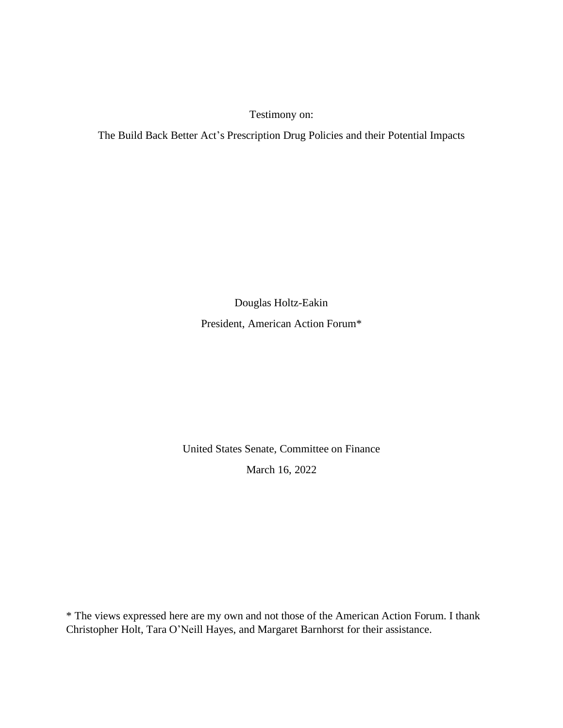Testimony on:

The Build Back Better Act's Prescription Drug Policies and their Potential Impacts

Douglas Holtz-Eakin

President, American Action Forum\*

United States Senate, Committee on Finance March 16, 2022

\* The views expressed here are my own and not those of the American Action Forum. I thank Christopher Holt, Tara O'Neill Hayes, and Margaret Barnhorst for their assistance.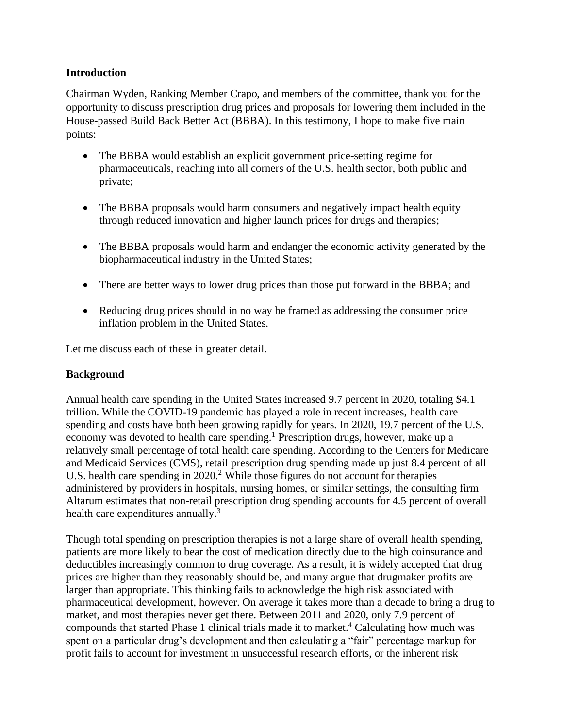### **Introduction**

Chairman Wyden, Ranking Member Crapo, and members of the committee, thank you for the opportunity to discuss prescription drug prices and proposals for lowering them included in the House-passed Build Back Better Act (BBBA). In this testimony, I hope to make five main points:

- The BBBA would establish an explicit government price-setting regime for pharmaceuticals, reaching into all corners of the U.S. health sector, both public and private;
- The BBBA proposals would harm consumers and negatively impact health equity through reduced innovation and higher launch prices for drugs and therapies;
- The BBBA proposals would harm and endanger the economic activity generated by the biopharmaceutical industry in the United States;
- There are better ways to lower drug prices than those put forward in the BBBA; and
- Reducing drug prices should in no way be framed as addressing the consumer price inflation problem in the United States.

Let me discuss each of these in greater detail.

# **Background**

Annual health care spending in the United States increased 9.7 percent in 2020, totaling \$4.1 trillion. While the COVID-19 pandemic has played a role in recent increases, health care spending and costs have both been growing rapidly for years. In 2020, 19.7 percent of the U.S. economy was devoted to health care spending.<sup>1</sup> Prescription drugs, however, make up a relatively small percentage of total health care spending. According to the Centers for Medicare and Medicaid Services (CMS), retail prescription drug spending made up just 8.4 percent of all U.S. health care spending in  $2020$ .<sup>2</sup> While those figures do not account for therapies administered by providers in hospitals, nursing homes, or similar settings, the consulting firm Altarum estimates that non-retail prescription drug spending accounts for 4.5 percent of overall health care expenditures annually.<sup>3</sup>

Though total spending on prescription therapies is not a large share of overall health spending, patients are more likely to bear the cost of medication directly due to the high coinsurance and deductibles increasingly common to drug coverage. As a result, it is widely accepted that drug prices are higher than they reasonably should be, and many argue that drugmaker profits are larger than appropriate. This thinking fails to acknowledge the high risk associated with pharmaceutical development, however. On average it takes more than a decade to bring a drug to market, and most therapies never get there. Between 2011 and 2020, only 7.9 percent of compounds that started Phase 1 clinical trials made it to market. <sup>4</sup> Calculating how much was spent on a particular drug's development and then calculating a "fair" percentage markup for profit fails to account for investment in unsuccessful research efforts, or the inherent risk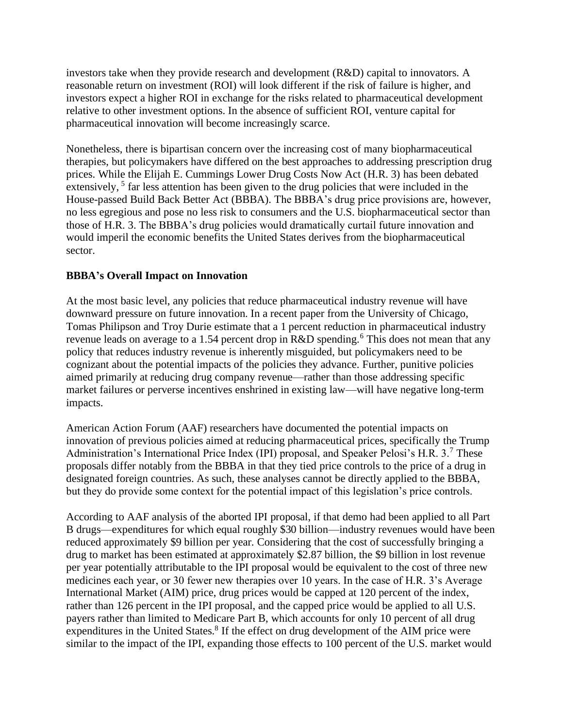investors take when they provide research and development (R&D) capital to innovators. A reasonable return on investment (ROI) will look different if the risk of failure is higher, and investors expect a higher ROI in exchange for the risks related to pharmaceutical development relative to other investment options. In the absence of sufficient ROI, venture capital for pharmaceutical innovation will become increasingly scarce.

Nonetheless, there is bipartisan concern over the increasing cost of many biopharmaceutical therapies, but policymakers have differed on the best approaches to addressing prescription drug prices. While the Elijah E. Cummings Lower Drug Costs Now Act (H.R. 3) has been debated extensively, <sup>5</sup> far less attention has been given to the drug policies that were included in the House-passed Build Back Better Act (BBBA). The BBBA's drug price provisions are, however, no less egregious and pose no less risk to consumers and the U.S. biopharmaceutical sector than those of H.R. 3. The BBBA's drug policies would dramatically curtail future innovation and would imperil the economic benefits the United States derives from the biopharmaceutical sector.

# **BBBA's Overall Impact on Innovation**

At the most basic level, any policies that reduce pharmaceutical industry revenue will have downward pressure on future innovation. In a recent paper from the University of Chicago, Tomas Philipson and Troy Durie estimate that a 1 percent reduction in pharmaceutical industry revenue leads on average to a 1.54 percent drop in R&D spending.<sup>6</sup> This does not mean that any policy that reduces industry revenue is inherently misguided, but policymakers need to be cognizant about the potential impacts of the policies they advance. Further, punitive policies aimed primarily at reducing drug company revenue—rather than those addressing specific market failures or perverse incentives enshrined in existing law—will have negative long-term impacts.

American Action Forum (AAF) researchers have documented the potential impacts on innovation of previous policies aimed at reducing pharmaceutical prices, specifically the Trump Administration's International Price Index (IPI) proposal, and Speaker Pelosi's H.R. 3.<sup>7</sup> These proposals differ notably from the BBBA in that they tied price controls to the price of a drug in designated foreign countries. As such, these analyses cannot be directly applied to the BBBA, but they do provide some context for the potential impact of this legislation's price controls.

According to AAF analysis of the aborted IPI proposal, if that demo had been applied to all Part B drugs—expenditures for which equal roughly \$30 billion—industry revenues would have been reduced approximately \$9 billion per year. Considering that the cost of successfully bringing a drug to market has been estimated at approximately \$2.87 billion, the \$9 billion in lost revenue per year potentially attributable to the IPI proposal would be equivalent to the cost of three new medicines each year, or 30 fewer new therapies over 10 years. In the case of H.R. 3's Average International Market (AIM) price, drug prices would be capped at 120 percent of the index, rather than 126 percent in the IPI proposal, and the capped price would be applied to all U.S. payers rather than limited to Medicare Part B, which accounts for only 10 percent of all drug expenditures in the United States.<sup>8</sup> If the effect on drug development of the AIM price were similar to the impact of the IPI, expanding those effects to 100 percent of the U.S. market would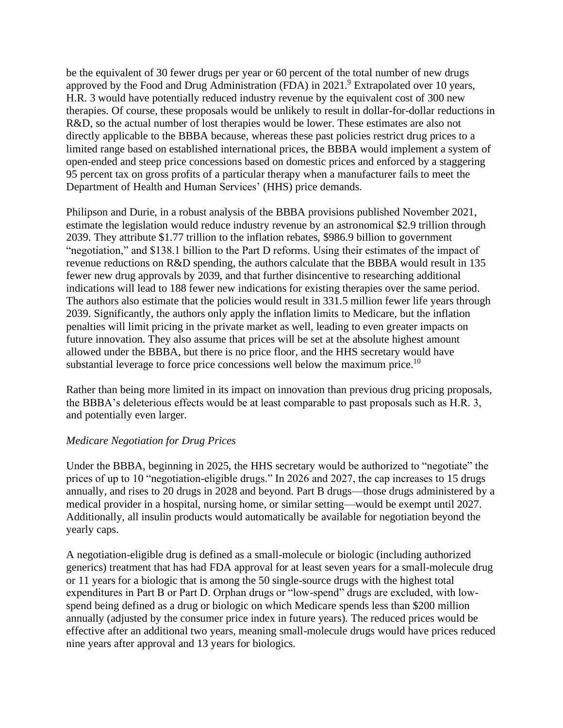be the equivalent of 30 fewer drugs per year or 60 percent of the total number of new drugs approved by the Food and Drug Administration (FDA) in 2021.<sup>9</sup> Extrapolated over 10 years, H.R. 3 would have potentially reduced industry revenue by the equivalent cost of 300 new therapies. Of course, these proposals would be unlikely to result in dollar-for-dollar reductions in R&D, so the actual number of lost therapies would be lower. These estimates are also not directly applicable to the BBBA because, whereas these past policies restrict drug prices to a limited range based on established international prices, the BBBA would implement a system of open-ended and steep price concessions based on domestic prices and enforced by a staggering 95 percent tax on gross profits of a particular therapy when a manufacturer fails to meet the Department of Health and Human Services' (HHS) price demands.

Philipson and Durie, in a robust analysis of the BBBA provisions published November 2021, estimate the legislation would reduce industry revenue by an astronomical \$2.9 trillion through 2039. They attribute \$1.77 trillion to the inflation rebates, \$986.9 billion to government "negotiation," and \$138.1 billion to the Part D reforms. Using their estimates of the impact of revenue reductions on R&D spending, the authors calculate that the BBBA would result in 135 fewer new drug approvals by 2039, and that further disincentive to researching additional indications will lead to 188 fewer new indications for existing therapies over the same period. The authors also estimate that the policies would result in 331.5 million fewer life years through 2039. Significantly, the authors only apply the inflation limits to Medicare, but the inflation penalties will limit pricing in the private market as well, leading to even greater impacts on future innovation. They also assume that prices will be set at the absolute highest amount allowed under the BBBA, but there is no price floor, and the HHS secretary would have substantial leverage to force price concessions well below the maximum price.<sup>10</sup>

Rather than being more limited in its impact on innovation than previous drug pricing proposals, the BBBA's deleterious effects would be at least comparable to past proposals such as H.R. 3, and potentially even larger.

# *Medicare Negotiation for Drug Prices*

Under the BBBA, beginning in 2025, the HHS secretary would be authorized to "negotiate" the prices of up to 10 "negotiation-eligible drugs." In 2026 and 2027, the cap increases to 15 drugs annually, and rises to 20 drugs in 2028 and beyond. Part B drugs—those drugs administered by a medical provider in a hospital, nursing home, or similar setting—would be exempt until 2027. Additionally, all insulin products would automatically be available for negotiation beyond the yearly caps.

A negotiation-eligible drug is defined as a small-molecule or biologic (including authorized generics) treatment that has had FDA approval for at least seven years for a small-molecule drug or 11 years for a biologic that is among the 50 single-source drugs with the highest total expenditures in Part B or Part D. Orphan drugs or "low-spend" drugs are excluded, with lowspend being defined as a drug or biologic on which Medicare spends less than \$200 million annually (adjusted by the consumer price index in future years). The reduced prices would be effective after an additional two years, meaning small-molecule drugs would have prices reduced nine years after approval and 13 years for biologics.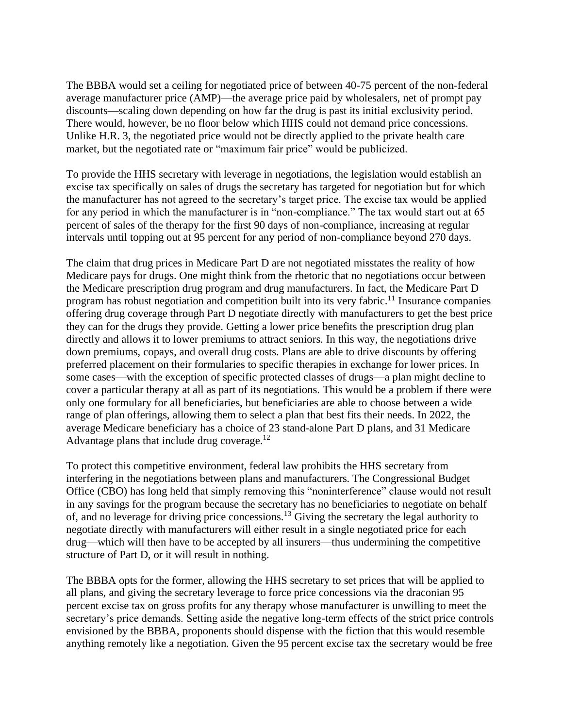The BBBA would set a ceiling for negotiated price of between 40-75 percent of the non-federal average manufacturer price (AMP)—the average price paid by wholesalers, net of prompt pay discounts—scaling down depending on how far the drug is past its initial exclusivity period. There would, however, be no floor below which HHS could not demand price concessions. Unlike H.R. 3, the negotiated price would not be directly applied to the private health care market, but the negotiated rate or "maximum fair price" would be publicized.

To provide the HHS secretary with leverage in negotiations, the legislation would establish an excise tax specifically on sales of drugs the secretary has targeted for negotiation but for which the manufacturer has not agreed to the secretary's target price. The excise tax would be applied for any period in which the manufacturer is in "non-compliance." The tax would start out at 65 percent of sales of the therapy for the first 90 days of non-compliance, increasing at regular intervals until topping out at 95 percent for any period of non-compliance beyond 270 days.

The claim that drug prices in Medicare Part D are not negotiated misstates the reality of how Medicare pays for drugs. One might think from the rhetoric that no negotiations occur between the Medicare prescription drug program and drug manufacturers. In fact, the Medicare Part D program has robust negotiation and competition built into its very fabric.<sup>11</sup> Insurance companies offering drug coverage through Part D negotiate directly with manufacturers to get the best price they can for the drugs they provide. Getting a lower price benefits the prescription drug plan directly and allows it to lower premiums to attract seniors. In this way, the negotiations drive down premiums, copays, and overall drug costs. Plans are able to drive discounts by offering preferred placement on their formularies to specific therapies in exchange for lower prices. In some cases—with the exception of specific protected classes of drugs—a plan might decline to cover a particular therapy at all as part of its negotiations. This would be a problem if there were only one formulary for all beneficiaries, but beneficiaries are able to choose between a wide range of plan offerings, allowing them to select a plan that best fits their needs. In 2022, the average Medicare beneficiary has a choice of 23 stand-alone Part D plans, and 31 Medicare Advantage plans that include drug coverage. $12$ 

To protect this competitive environment, federal law prohibits the HHS secretary from interfering in the negotiations between plans and manufacturers. The Congressional Budget Office (CBO) has long held that simply removing this "noninterference" clause would not result in any savings for the program because the secretary has no beneficiaries to negotiate on behalf of, and no leverage for driving price concessions.<sup>13</sup> Giving the secretary the legal authority to negotiate directly with manufacturers will either result in a single negotiated price for each drug—which will then have to be accepted by all insurers—thus undermining the competitive structure of Part D, or it will result in nothing.

The BBBA opts for the former, allowing the HHS secretary to set prices that will be applied to all plans, and giving the secretary leverage to force price concessions via the draconian 95 percent excise tax on gross profits for any therapy whose manufacturer is unwilling to meet the secretary's price demands. Setting aside the negative long-term effects of the strict price controls envisioned by the BBBA, proponents should dispense with the fiction that this would resemble anything remotely like a negotiation. Given the 95 percent excise tax the secretary would be free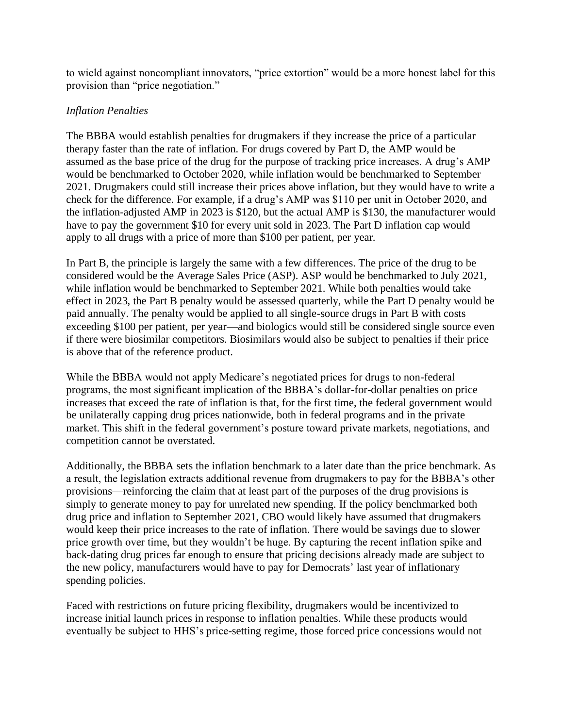to wield against noncompliant innovators, "price extortion" would be a more honest label for this provision than "price negotiation."

### *Inflation Penalties*

The BBBA would establish penalties for drugmakers if they increase the price of a particular therapy faster than the rate of inflation. For drugs covered by Part D, the AMP would be assumed as the base price of the drug for the purpose of tracking price increases. A drug's AMP would be benchmarked to October 2020, while inflation would be benchmarked to September 2021. Drugmakers could still increase their prices above inflation, but they would have to write a check for the difference. For example, if a drug's AMP was \$110 per unit in October 2020, and the inflation-adjusted AMP in 2023 is \$120, but the actual AMP is \$130, the manufacturer would have to pay the government \$10 for every unit sold in 2023. The Part D inflation cap would apply to all drugs with a price of more than \$100 per patient, per year.

In Part B, the principle is largely the same with a few differences. The price of the drug to be considered would be the Average Sales Price (ASP). ASP would be benchmarked to July 2021, while inflation would be benchmarked to September 2021. While both penalties would take effect in 2023, the Part B penalty would be assessed quarterly, while the Part D penalty would be paid annually. The penalty would be applied to all single-source drugs in Part B with costs exceeding \$100 per patient, per year—and biologics would still be considered single source even if there were biosimilar competitors. Biosimilars would also be subject to penalties if their price is above that of the reference product.

While the BBBA would not apply Medicare's negotiated prices for drugs to non-federal programs, the most significant implication of the BBBA's dollar-for-dollar penalties on price increases that exceed the rate of inflation is that, for the first time, the federal government would be unilaterally capping drug prices nationwide, both in federal programs and in the private market. This shift in the federal government's posture toward private markets, negotiations, and competition cannot be overstated.

Additionally, the BBBA sets the inflation benchmark to a later date than the price benchmark. As a result, the legislation extracts additional revenue from drugmakers to pay for the BBBA's other provisions—reinforcing the claim that at least part of the purposes of the drug provisions is simply to generate money to pay for unrelated new spending. If the policy benchmarked both drug price and inflation to September 2021, CBO would likely have assumed that drugmakers would keep their price increases to the rate of inflation. There would be savings due to slower price growth over time, but they wouldn't be huge. By capturing the recent inflation spike and back-dating drug prices far enough to ensure that pricing decisions already made are subject to the new policy, manufacturers would have to pay for Democrats' last year of inflationary spending policies.

Faced with restrictions on future pricing flexibility, drugmakers would be incentivized to increase initial launch prices in response to inflation penalties. While these products would eventually be subject to HHS's price-setting regime, those forced price concessions would not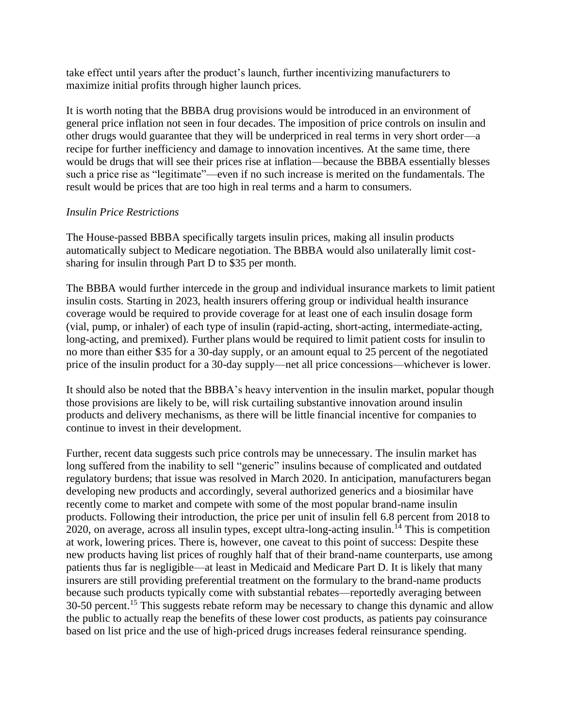take effect until years after the product's launch, further incentivizing manufacturers to maximize initial profits through higher launch prices.

It is worth noting that the BBBA drug provisions would be introduced in an environment of general price inflation not seen in four decades. The imposition of price controls on insulin and other drugs would guarantee that they will be underpriced in real terms in very short order—a recipe for further inefficiency and damage to innovation incentives. At the same time, there would be drugs that will see their prices rise at inflation—because the BBBA essentially blesses such a price rise as "legitimate"—even if no such increase is merited on the fundamentals. The result would be prices that are too high in real terms and a harm to consumers.

### *Insulin Price Restrictions*

The House-passed BBBA specifically targets insulin prices, making all insulin products automatically subject to Medicare negotiation. The BBBA would also unilaterally limit costsharing for insulin through Part D to \$35 per month.

The BBBA would further intercede in the group and individual insurance markets to limit patient insulin costs. Starting in 2023, health insurers offering group or individual health insurance coverage would be required to provide coverage for at least one of each insulin dosage form (vial, pump, or inhaler) of each type of insulin (rapid-acting, short-acting, intermediate-acting, long-acting, and premixed). Further plans would be required to limit patient costs for insulin to no more than either \$35 for a 30-day supply, or an amount equal to 25 percent of the negotiated price of the insulin product for a 30-day supply—net all price concessions—whichever is lower.

It should also be noted that the BBBA's heavy intervention in the insulin market, popular though those provisions are likely to be, will risk curtailing substantive innovation around insulin products and delivery mechanisms, as there will be little financial incentive for companies to continue to invest in their development.

Further, recent data suggests such price controls may be unnecessary. The insulin market has long suffered from the inability to sell "generic" insulins because of complicated and outdated regulatory burdens; that issue was resolved in March 2020. In anticipation, manufacturers began developing new products and accordingly, several authorized generics and a biosimilar have recently come to market and compete with some of the most popular brand-name insulin products. Following their introduction, the price per unit of insulin fell 6.8 percent from 2018 to 2020, on average, across all insulin types, except ultra-long-acting insulin.<sup>14</sup> This is competition at work, lowering prices. There is, however, one caveat to this point of success: Despite these new products having list prices of roughly half that of their brand-name counterparts, use among patients thus far is negligible—at least in Medicaid and Medicare Part D. It is likely that many insurers are still providing preferential treatment on the formulary to the brand-name products because such products typically come with substantial rebates—reportedly averaging between 30-50 percent.<sup>15</sup> This suggests rebate reform may be necessary to change this dynamic and allow the public to actually reap the benefits of these lower cost products, as patients pay coinsurance based on list price and the use of high-priced drugs increases federal reinsurance spending.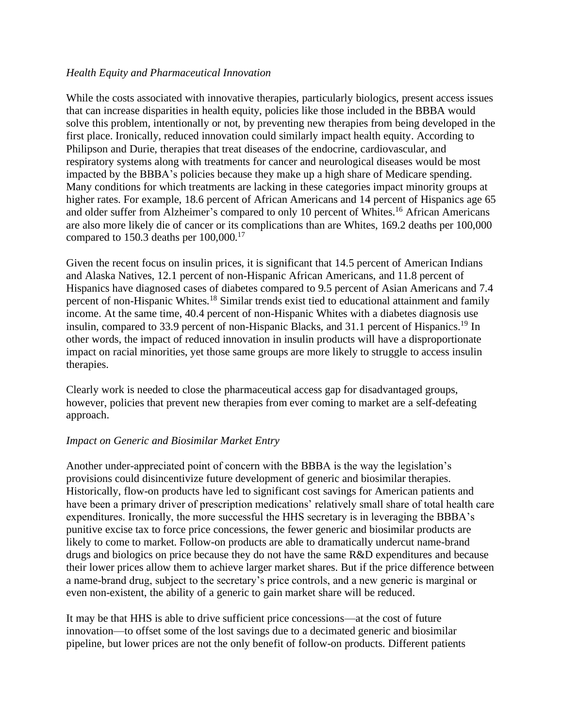#### *Health Equity and Pharmaceutical Innovation*

While the costs associated with innovative therapies, particularly biologics, present access issues that can increase disparities in health equity, policies like those included in the BBBA would solve this problem, intentionally or not, by preventing new therapies from being developed in the first place. Ironically, reduced innovation could similarly impact health equity. According to Philipson and Durie, therapies that treat diseases of the endocrine, cardiovascular, and respiratory systems along with treatments for cancer and neurological diseases would be most impacted by the BBBA's policies because they make up a high share of Medicare spending. Many conditions for which treatments are lacking in these categories impact minority groups at higher rates. For example, 18.6 percent of African Americans and 14 percent of Hispanics age 65 and older suffer from Alzheimer's compared to only 10 percent of Whites.<sup>16</sup> African Americans are also more likely die of cancer or its complications than are Whites, 169.2 deaths per 100,000 compared to 150.3 deaths per  $100,000$ .<sup>17</sup>

Given the recent focus on insulin prices, it is significant that 14.5 percent of American Indians and Alaska Natives, 12.1 percent of non-Hispanic African Americans, and 11.8 percent of Hispanics have diagnosed cases of diabetes compared to 9.5 percent of Asian Americans and 7.4 percent of non-Hispanic Whites.<sup>18</sup> Similar trends exist tied to educational attainment and family income. At the same time, 40.4 percent of non-Hispanic Whites with a diabetes diagnosis use insulin, compared to 33.9 percent of non-Hispanic Blacks, and 31.1 percent of Hispanics.<sup>19</sup> In other words, the impact of reduced innovation in insulin products will have a disproportionate impact on racial minorities, yet those same groups are more likely to struggle to access insulin therapies.

Clearly work is needed to close the pharmaceutical access gap for disadvantaged groups, however, policies that prevent new therapies from ever coming to market are a self-defeating approach.

# *Impact on Generic and Biosimilar Market Entry*

Another under-appreciated point of concern with the BBBA is the way the legislation's provisions could disincentivize future development of generic and biosimilar therapies. Historically, flow-on products have led to significant cost savings for American patients and have been a primary driver of prescription medications' relatively small share of total health care expenditures. Ironically, the more successful the HHS secretary is in leveraging the BBBA's punitive excise tax to force price concessions, the fewer generic and biosimilar products are likely to come to market. Follow-on products are able to dramatically undercut name-brand drugs and biologics on price because they do not have the same R&D expenditures and because their lower prices allow them to achieve larger market shares. But if the price difference between a name-brand drug, subject to the secretary's price controls, and a new generic is marginal or even non-existent, the ability of a generic to gain market share will be reduced.

It may be that HHS is able to drive sufficient price concessions—at the cost of future innovation—to offset some of the lost savings due to a decimated generic and biosimilar pipeline, but lower prices are not the only benefit of follow-on products. Different patients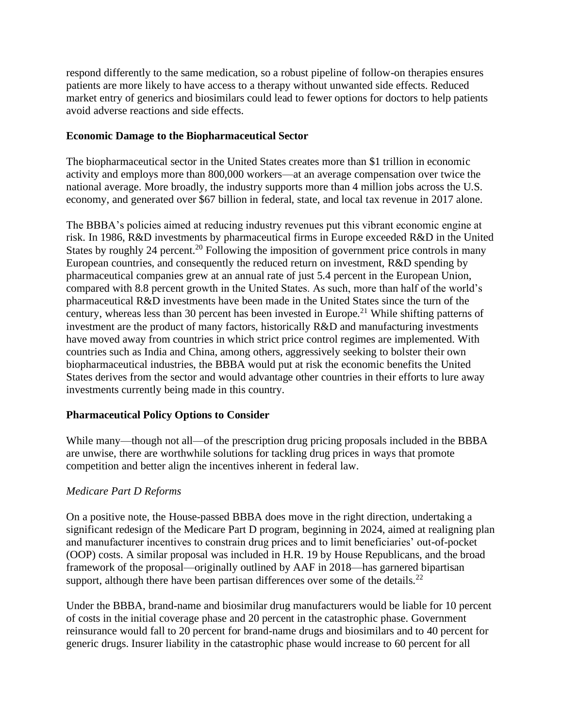respond differently to the same medication, so a robust pipeline of follow-on therapies ensures patients are more likely to have access to a therapy without unwanted side effects. Reduced market entry of generics and biosimilars could lead to fewer options for doctors to help patients avoid adverse reactions and side effects.

### **Economic Damage to the Biopharmaceutical Sector**

The biopharmaceutical sector in the United States creates more than \$1 trillion in economic activity and employs more than 800,000 workers—at an average compensation over twice the national average. More broadly, the industry supports more than 4 million jobs across the U.S. economy, and generated over \$67 billion in federal, state, and local tax revenue in 2017 alone.

The BBBA's policies aimed at reducing industry revenues put this vibrant economic engine at risk. In 1986, R&D investments by pharmaceutical firms in Europe exceeded R&D in the United States by roughly 24 percent.<sup>20</sup> Following the imposition of government price controls in many European countries, and consequently the reduced return on investment, R&D spending by pharmaceutical companies grew at an annual rate of just 5.4 percent in the European Union, compared with 8.8 percent growth in the United States. As such, more than half of the world's pharmaceutical R&D investments have been made in the United States since the turn of the century, whereas less than 30 percent has been invested in Europe.<sup>21</sup> While shifting patterns of investment are the product of many factors, historically R&D and manufacturing investments have moved away from countries in which strict price control regimes are implemented. With countries such as India and China, among others, aggressively seeking to bolster their own biopharmaceutical industries, the BBBA would put at risk the economic benefits the United States derives from the sector and would advantage other countries in their efforts to lure away investments currently being made in this country.

# **Pharmaceutical Policy Options to Consider**

While many—though not all—of the prescription drug pricing proposals included in the BBBA are unwise, there are worthwhile solutions for tackling drug prices in ways that promote competition and better align the incentives inherent in federal law.

#### *Medicare Part D Reforms*

On a positive note, the House-passed BBBA does move in the right direction, undertaking a significant redesign of the Medicare Part D program, beginning in 2024, aimed at realigning plan and manufacturer incentives to constrain drug prices and to limit beneficiaries' out-of-pocket (OOP) costs. A similar proposal was included in H.R. 19 by House Republicans, and the broad framework of the proposal—originally outlined by AAF in 2018—has garnered bipartisan support, although there have been partisan differences over some of the details.<sup>22</sup>

Under the BBBA, brand-name and biosimilar drug manufacturers would be liable for 10 percent of costs in the initial coverage phase and 20 percent in the catastrophic phase. Government reinsurance would fall to 20 percent for brand-name drugs and biosimilars and to 40 percent for generic drugs. Insurer liability in the catastrophic phase would increase to 60 percent for all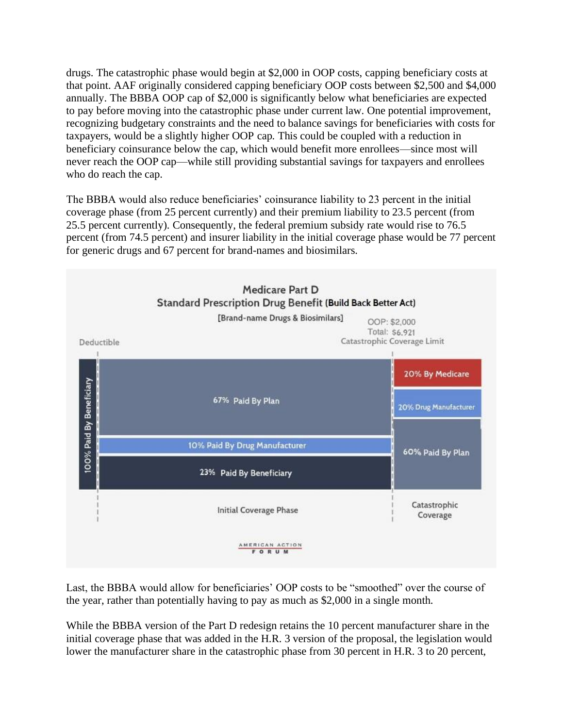drugs. The catastrophic phase would begin at \$2,000 in OOP costs, capping beneficiary costs at that point. AAF originally considered capping beneficiary OOP costs between \$2,500 and \$4,000 annually. The BBBA OOP cap of \$2,000 is significantly below what beneficiaries are expected to pay before moving into the catastrophic phase under current law. One potential improvement, recognizing budgetary constraints and the need to balance savings for beneficiaries with costs for taxpayers, would be a slightly higher OOP cap. This could be coupled with a reduction in beneficiary coinsurance below the cap, which would benefit more enrollees—since most will never reach the OOP cap—while still providing substantial savings for taxpayers and enrollees who do reach the cap.

The BBBA would also reduce beneficiaries' coinsurance liability to 23 percent in the initial coverage phase (from 25 percent currently) and their premium liability to 23.5 percent (from 25.5 percent currently). Consequently, the federal premium subsidy rate would rise to 76.5 percent (from 74.5 percent) and insurer liability in the initial coverage phase would be 77 percent for generic drugs and 67 percent for brand-names and biosimilars.



Last, the BBBA would allow for beneficiaries' OOP costs to be "smoothed" over the course of the year, rather than potentially having to pay as much as \$2,000 in a single month.

While the BBBA version of the Part D redesign retains the 10 percent manufacturer share in the initial coverage phase that was added in the H.R. 3 version of the proposal, the legislation would lower the manufacturer share in the catastrophic phase from 30 percent in H.R. 3 to 20 percent,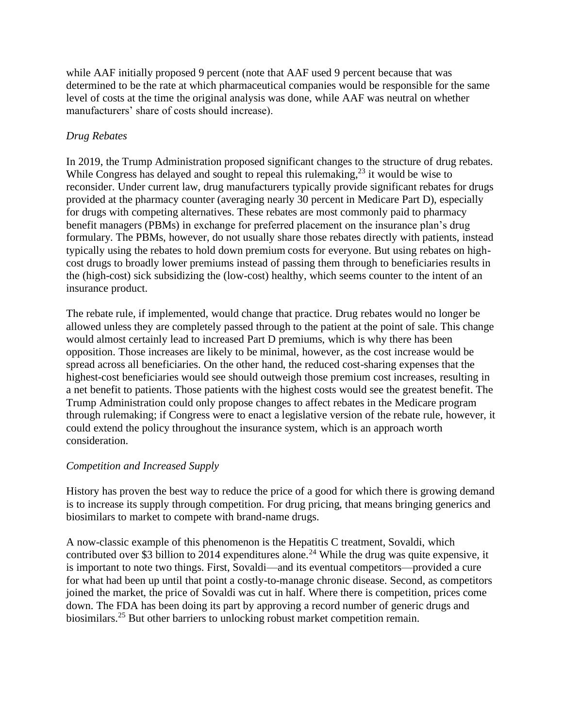while AAF initially proposed 9 percent (note that AAF used 9 percent because that was determined to be the rate at which pharmaceutical companies would be responsible for the same level of costs at the time the original analysis was done, while AAF was neutral on whether manufacturers' share of costs should increase).

# *Drug Rebates*

In 2019, the Trump Administration proposed significant changes to the structure of drug rebates. While Congress has delayed and sought to repeal this rulemaking, $2<sup>3</sup>$  it would be wise to reconsider. Under current law, drug manufacturers typically provide significant rebates for drugs provided at the pharmacy counter (averaging nearly 30 percent in Medicare Part D), especially for drugs with competing alternatives. These rebates are most commonly paid to pharmacy benefit managers (PBMs) in exchange for preferred placement on the insurance plan's drug formulary. The PBMs, however, do not usually share those rebates directly with patients, instead typically using the rebates to hold down premium costs for everyone. But using rebates on highcost drugs to broadly lower premiums instead of passing them through to beneficiaries results in the (high-cost) sick subsidizing the (low-cost) healthy, which seems counter to the intent of an insurance product.

The rebate rule, if implemented, would change that practice. Drug rebates would no longer be allowed unless they are completely passed through to the patient at the point of sale. This change would almost certainly lead to increased Part D premiums, which is why there has been opposition. Those increases are likely to be minimal, however, as the cost increase would be spread across all beneficiaries. On the other hand, the reduced cost-sharing expenses that the highest-cost beneficiaries would see should outweigh those premium cost increases, resulting in a net benefit to patients. Those patients with the highest costs would see the greatest benefit. The Trump Administration could only propose changes to affect rebates in the Medicare program through rulemaking; if Congress were to enact a legislative version of the rebate rule, however, it could extend the policy throughout the insurance system, which is an approach worth consideration.

# *Competition and Increased Supply*

History has proven the best way to reduce the price of a good for which there is growing demand is to increase its supply through competition. For drug pricing, that means bringing generics and biosimilars to market to compete with brand-name drugs.

A now-classic example of this phenomenon is the Hepatitis C treatment, Sovaldi, which contributed over \$3 billion to 2014 expenditures alone.<sup>24</sup> While the drug was quite expensive, it is important to note two things. First, Sovaldi—and its eventual competitors—provided a cure for what had been up until that point a costly-to-manage chronic disease. Second, as competitors joined the market, the price of Sovaldi was cut in half. Where there is competition, prices come down. The FDA has been doing its part by approving a record number of generic drugs and biosimilars.<sup>25</sup> But other barriers to unlocking robust market competition remain.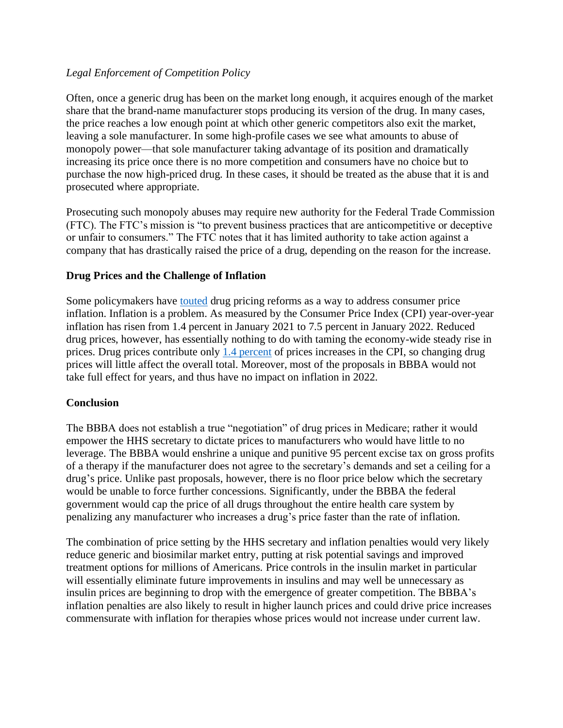# *Legal Enforcement of Competition Policy*

Often, once a generic drug has been on the market long enough, it acquires enough of the market share that the brand-name manufacturer stops producing its version of the drug. In many cases, the price reaches a low enough point at which other generic competitors also exit the market, leaving a sole manufacturer. In some high-profile cases we see what amounts to abuse of monopoly power—that sole manufacturer taking advantage of its position and dramatically increasing its price once there is no more competition and consumers have no choice but to purchase the now high-priced drug. In these cases, it should be treated as the abuse that it is and prosecuted where appropriate.

Prosecuting such monopoly abuses may require new authority for the Federal Trade Commission (FTC). The FTC's mission is "to prevent business practices that are anticompetitive or deceptive or unfair to consumers." The FTC notes that it has limited authority to take action against a company that has drastically raised the price of a drug, depending on the reason for the increase.

### **Drug Prices and the Challenge of Inflation**

Some policymakers have [touted](https://abcnews.go.com/Health/wireStory/biden-puts-focus-drug-prices-revive-agenda-82790541) drug pricing reforms as a way to address consumer price inflation. Inflation is a problem. As measured by the Consumer Price Index (CPI) year-over-year inflation has risen from 1.4 percent in January 2021 to 7.5 percent in January 2022. Reduced drug prices, however, has essentially nothing to do with taming the economy-wide steady rise in prices. Drug prices contribute only [1.4 percent](https://www.bls.gov/news.release/pdf/cpi.pdf) of prices increases in the CPI, so changing drug prices will little affect the overall total. Moreover, most of the proposals in BBBA would not take full effect for years, and thus have no impact on inflation in 2022.

#### **Conclusion**

The BBBA does not establish a true "negotiation" of drug prices in Medicare; rather it would empower the HHS secretary to dictate prices to manufacturers who would have little to no leverage. The BBBA would enshrine a unique and punitive 95 percent excise tax on gross profits of a therapy if the manufacturer does not agree to the secretary's demands and set a ceiling for a drug's price. Unlike past proposals, however, there is no floor price below which the secretary would be unable to force further concessions. Significantly, under the BBBA the federal government would cap the price of all drugs throughout the entire health care system by penalizing any manufacturer who increases a drug's price faster than the rate of inflation.

The combination of price setting by the HHS secretary and inflation penalties would very likely reduce generic and biosimilar market entry, putting at risk potential savings and improved treatment options for millions of Americans. Price controls in the insulin market in particular will essentially eliminate future improvements in insulins and may well be unnecessary as insulin prices are beginning to drop with the emergence of greater competition. The BBBA's inflation penalties are also likely to result in higher launch prices and could drive price increases commensurate with inflation for therapies whose prices would not increase under current law.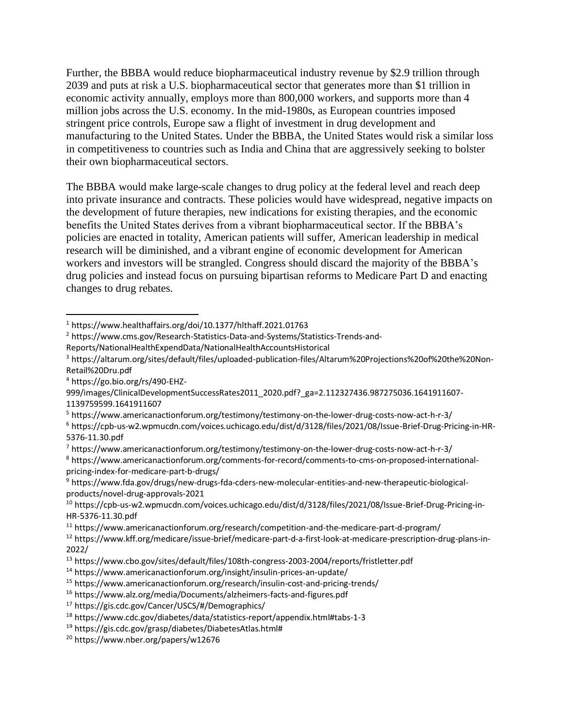Further, the BBBA would reduce biopharmaceutical industry revenue by \$2.9 trillion through 2039 and puts at risk a U.S. biopharmaceutical sector that generates more than \$1 trillion in economic activity annually, employs more than 800,000 workers, and supports more than 4 million jobs across the U.S. economy. In the mid-1980s, as European countries imposed stringent price controls, Europe saw a flight of investment in drug development and manufacturing to the United States. Under the BBBA, the United States would risk a similar loss in competitiveness to countries such as India and China that are aggressively seeking to bolster their own biopharmaceutical sectors.

The BBBA would make large-scale changes to drug policy at the federal level and reach deep into private insurance and contracts. These policies would have widespread, negative impacts on the development of future therapies, new indications for existing therapies, and the economic benefits the United States derives from a vibrant biopharmaceutical sector. If the BBBA's policies are enacted in totality, American patients will suffer, American leadership in medical research will be diminished, and a vibrant engine of economic development for American workers and investors will be strangled. Congress should discard the majority of the BBBA's drug policies and instead focus on pursuing bipartisan reforms to Medicare Part D and enacting changes to drug rebates.

Reports/NationalHealthExpendData/NationalHealthAccountsHistorical

<sup>4</sup> https://go.bio.org/rs/490-EHZ-

<sup>5</sup> https://www.americanactionforum.org/testimony/testimony-on-the-lower-drug-costs-now-act-h-r-3/

<sup>6</sup> https://cpb-us-w2.wpmucdn.com/voices.uchicago.edu/dist/d/3128/files/2021/08/Issue-Brief-Drug-Pricing-in-HR-5376-11.30.pdf

<sup>7</sup> https://www.americanactionforum.org/testimony/testimony-on-the-lower-drug-costs-now-act-h-r-3/

<sup>8</sup> https://www.americanactionforum.org/comments-for-record/comments-to-cms-on-proposed-internationalpricing-index-for-medicare-part-b-drugs/

<sup>9</sup> https://www.fda.gov/drugs/new-drugs-fda-cders-new-molecular-entities-and-new-therapeutic-biologicalproducts/novel-drug-approvals-2021

<sup>12</sup> https://www.kff.org/medicare/issue-brief/medicare-part-d-a-first-look-at-medicare-prescription-drug-plans-in-2022/

<sup>19</sup> https://gis.cdc.gov/grasp/diabetes/DiabetesAtlas.html#

<sup>1</sup> https://www.healthaffairs.org/doi/10.1377/hlthaff.2021.01763

<sup>2</sup> https://www.cms.gov/Research-Statistics-Data-and-Systems/Statistics-Trends-and-

<sup>3</sup> https://altarum.org/sites/default/files/uploaded-publication-files/Altarum%20Projections%20of%20the%20Non-Retail%20Dru.pdf

<sup>999/</sup>images/ClinicalDevelopmentSuccessRates2011\_2020.pdf?\_ga=2.112327436.987275036.1641911607- 1139759599.1641911607

<sup>10</sup> https://cpb-us-w2.wpmucdn.com/voices.uchicago.edu/dist/d/3128/files/2021/08/Issue-Brief-Drug-Pricing-in-HR-5376-11.30.pdf

<sup>11</sup> https://www.americanactionforum.org/research/competition-and-the-medicare-part-d-program/

<sup>13</sup> https://www.cbo.gov/sites/default/files/108th-congress-2003-2004/reports/fristletter.pdf

<sup>14</sup> https://www.americanactionforum.org/insight/insulin-prices-an-update/

<sup>15</sup> https://www.americanactionforum.org/research/insulin-cost-and-pricing-trends/

<sup>16</sup> https://www.alz.org/media/Documents/alzheimers-facts-and-figures.pdf

<sup>17</sup> https://gis.cdc.gov/Cancer/USCS/#/Demographics/

<sup>18</sup> https://www.cdc.gov/diabetes/data/statistics-report/appendix.html#tabs-1-3

<sup>20</sup> https://www.nber.org/papers/w12676